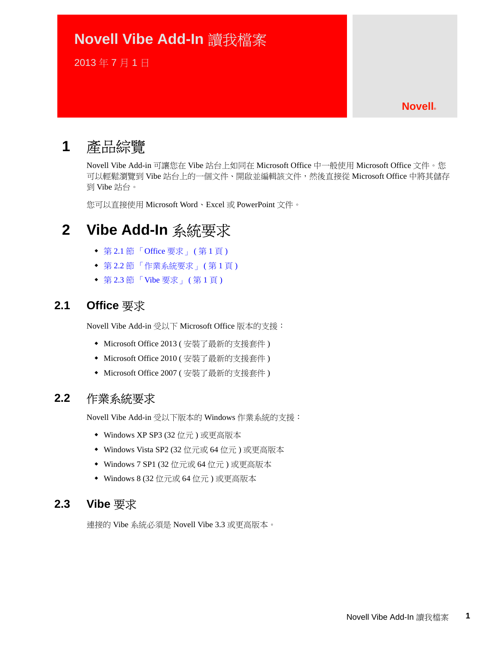# **Novell Vibe Add-In** 讀我檔案

2013 年 7 月 1 日

**Novell®**

## **1** 產品綜覽

Novell Vibe Add-in 可讓您在 Vibe 站台上如同在 Microsoft Office 中一般使用 Microsoft Office 文件。您 可以輕鬆瀏覽到 Vibe 站台上的一個文件、開啟並編輯該文件,然後直接從 Microsoft Office 中將其儲存 到 Vibe 站台。

您可以直接使用 Microsoft Word、Excel 或 PowerPoint 文件。

## **2 Vibe Add-In** 系統要求

- 第 2.1 節 「Office [要求」](#page-0-0) (第1頁)
- ! 第 2.2 [節 「作業系統要求」](#page-0-1) ( 第 1 頁 )
- ◆ 第 2.3 節 「Vibe [要求」](#page-0-2) (第1頁)

#### <span id="page-0-0"></span>**2.1 Office** 要求

Novell Vibe Add-in 受以下 Microsoft Office 版本的支援︰

- ! Microsoft Office 2013 ( 安裝了最新的支援套件 )
- ! Microsoft Office 2010 ( 安裝了最新的支援套件 )
- ! Microsoft Office 2007 ( 安裝了最新的支援套件 )

#### <span id="page-0-1"></span>**2.2** 作業系統要求

Novell Vibe Add-in 受以下版本的 Windows 作業系統的支援︰

- ! Windows XP SP3 (32 位元 ) 或更高版本
- ! Windows Vista SP2 (32 位元或 64 位元 ) 或更高版本
- ! Windows 7 SP1 (32 位元或 64 位元 ) 或更高版本
- ◆ Windows 8 (32 位元或 64 位元) 或更高版本

#### <span id="page-0-2"></span>**2.3 Vibe** 要求

連接的 Vibe 系統必須是 Novell Vibe 3.3 或更高版本。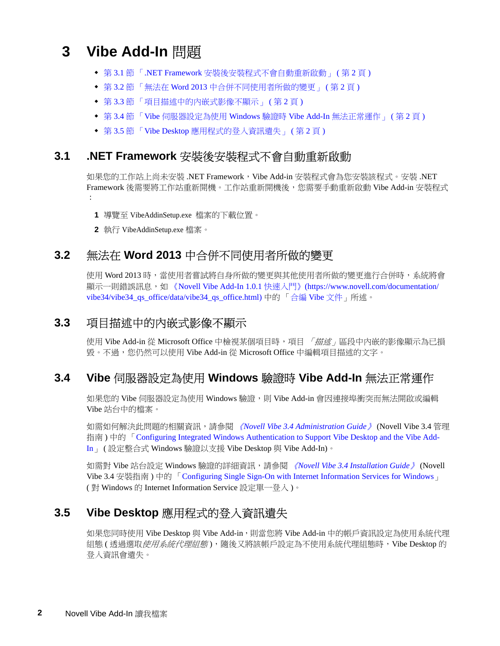### **3 Vibe Add-In** 問題

- ◆ 第 3.1 節 「.NET Framework [安裝後安裝程式不會自動重新啟動」](#page-1-0) (第 2 頁)
- ! 第 3.2 節 「無法在 Word 2013 [中合併不同使用者所做的變更」](#page-1-1) ( 第 2 頁 )
- ! 第 3.3 [節 「項目描述中的內嵌式影像不顯示」](#page-1-2) ( 第 2 頁 )
- ! 第 3.4 節 「Vibe [伺服器設定為使用](#page-1-3) Windows 驗證時 Vibe Add-In 無法正常運作」 ( 第 2 頁 )
- ! 第 3.5 節 「Vibe Desktop [應用程式的登入資訊遺失」](#page-1-4) ( 第 2 頁 )

#### <span id="page-1-0"></span>**3.1 .NET Framework** 安裝後安裝程式不會自動重新啟動

如果您的工作站上尚未安裝 .NET Framework,Vibe Add-in 安裝程式會為您安裝該程式。安裝 .NET Framework 後需要將工作站重新開機。工作站重新開機後,您需要手動重新啟動 Vibe Add-in 安裝程式  $\ddot{\phantom{a}}$ 

- **1** 導覽至 VibeAddinSetup.exe 檔案的下載位置。
- **2** 執行 VibeAddinSetup.exe 檔案。

#### <span id="page-1-1"></span>**3.2** 無法在 **Word 2013** 中合併不同使用者所做的變更

使用 Word 2013 時,當使用者嘗試將自身所做的變更與其他使用者所做的變更進行合併時,系統將會 顯示一則錯誤訊息,如 《[Novell Vibe Add-In 1.0.1](https://www.novell.com/documentation/vibe34/vibe34_qs_office/data/vibe34_qs_office.html) 快速入門》 (https://www.novell.com/documentation/ vibe34/vibe34\_qs\_office/data/vibe34\_qs\_office.html) 中的 「合編 Vibe 文件」所述。

#### <span id="page-1-2"></span>**3.3** 項目描述中的內嵌式影像不顯示

使用 Vibe Add-in 從 Microsoft Office 中檢視某個項目時,項目 「*描述*,區段中內嵌的影像顯示為已損 毀。不過,您仍然可以使用 Vibe Add-in 從 Microsoft Office 中編輯項目描述的文字。

#### <span id="page-1-3"></span>**3.4 Vibe** 伺服器設定為使用 **Windows** 驗證時 **Vibe Add-In** 無法正常運作

如果您的 Vibe 伺服器設定為使用 Windows 驗證,則 Vibe Add-in 會因連接埠衝突而無法開啟或編輯 Vibe 站台中的檔案。

如需如何解決此問題的相關資訊,請參閱 《*Novell Vibe 3.4 Administration Guide*》 (Novell Vibe 3.4 管理 指南 ) 中的 「Configuring Integrated Windows Authentication to Support Vibe Desktop and the Vibe Add-In」 ( 設定整合式 Windows 驗證以支援 Vibe Desktop 與 Vibe Add-In)。

如需對 Vibe 站台設定 Windows 驗證的詳細資訊,請參閱 《*Novell Vibe 3.4 Installation Guide*》 (Novell Vibe 3.4 安裝指南)中的「Configuring Single Sign-On with Internet Information Services for Windows」 ( 對 Windows 的 Internet Information Service 設定單一登入 )。

#### <span id="page-1-4"></span>**3.5 Vibe Desktop** 應用程式的登入資訊遺失

如果您同時使用 Vibe Desktop 與 Vibe Add-in,則當您將 Vibe Add-in 中的帳戶資訊設定為使用系統代理 組態 (透過選取*使用系統代理組態*),隨後又將該帳戶設定為不使用系統代理組態時,Vibe Desktop 的 登入資訊會遺失。